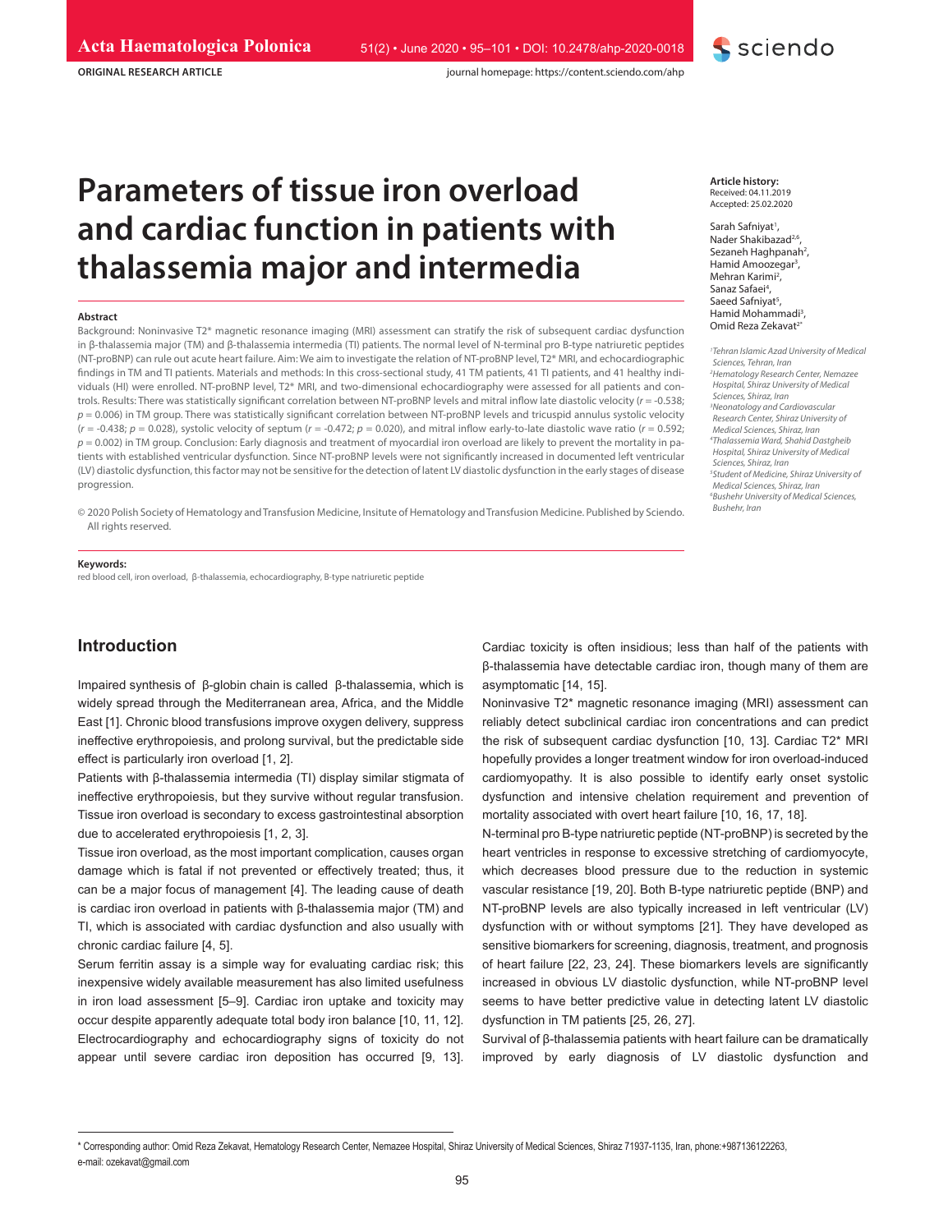**ORIGINAL RESEARCH ARTICLE**

# **Parameters of tissue iron overload and cardiac function in patients with thalassemia major and intermedia**

#### **Abstract**

Background: Noninvasive T2\* magnetic resonance imaging (MRI) assessment can stratify the risk of subsequent cardiac dysfunction in β-thalassemia major (TM) and β-thalassemia intermedia (TI) patients. The normal level of N-terminal pro B-type natriuretic peptides (NT-proBNP) can rule out acute heart failure. Aim: We aim to investigate the relation of NT-proBNP level, T2\* MRI, and echocardiographic findings in TM and TI patients. Materials and methods: In this cross-sectional study, 41 TM patients, 41 TI patients, and 41 healthy individuals (HI) were enrolled. NT-proBNP level, T2\* MRI, and two-dimensional echocardiography were assessed for all patients and controls. Results: There was statistically significant correlation between NT-proBNP levels and mitral inflow late diastolic velocity (*r* = -0.538; *p* = 0.006) in TM group. There was statistically significant correlation between NT-proBNP levels and tricuspid annulus systolic velocity (*r* = -0.438; *p* = 0.028), systolic velocity of septum (*r* = -0.472; *p* = 0.020), and mitral inflow early-to-late diastolic wave ratio (*r* = 0.592; *p* = 0.002) in TM group. Conclusion: Early diagnosis and treatment of myocardial iron overload are likely to prevent the mortality in patients with established ventricular dysfunction. Since NT-proBNP levels were not significantly increased in documented left ventricular (LV) diastolic dysfunction, this factor may not be sensitive for the detection of latent LV diastolic dysfunction in the early stages of disease progression.

© 2020 Polish Society of Hematology and Transfusion Medicine, Insitute of Hematology and Transfusion Medicine. Published by Sciendo. All rights reserved.

#### **Keywords:**

red blood cell, iron overload, β-thalassemia, echocardiography, B-type natriuretic peptide

## **Introduction**

Impaired synthesis of β-globin chain is called β-thalassemia, which is widely spread through the Mediterranean area, Africa, and the Middle East [1]. Chronic blood transfusions improve oxygen delivery, suppress ineffective erythropoiesis, and prolong survival, but the predictable side effect is particularly iron overload [1, 2].

Patients with β-thalassemia intermedia (TI) display similar stigmata of ineffective erythropoiesis, but they survive without regular transfusion. Tissue iron overload is secondary to excess gastrointestinal absorption due to accelerated erythropoiesis [1, 2, 3].

Tissue iron overload, as the most important complication, causes organ damage which is fatal if not prevented or effectively treated; thus, it can be a major focus of management [4]. The leading cause of death is cardiac iron overload in patients with β-thalassemia major (TM) and TI, which is associated with cardiac dysfunction and also usually with chronic cardiac failure [4, 5].

Serum ferritin assay is a simple way for evaluating cardiac risk; this inexpensive widely available measurement has also limited usefulness in iron load assessment [5–9]. Cardiac iron uptake and toxicity may occur despite apparently adequate total body iron balance [10, 11, 12]. Electrocardiography and echocardiography signs of toxicity do not appear until severe cardiac iron deposition has occurred [9, 13].

**Article history:** Received: 04.11.2019 Accepted: 25.02.2020

sciendo

Sarah Safniyat<sup>1</sup>, Nader Shakibazad<sup>2,6</sup> Sezaneh Haghpanah<sup>2</sup>, Hamid Amoozegar<sup>3</sup>, Mehran Karimi<sup>2</sup>, Sanaz Safaei<sup>4</sup>, Saeed Safniyat<sup>5</sup>, Hamid Mohammadi<sup>3</sup>, Omid Reza Zekavat<sup>2</sup>

*1 Tehran Islamic Azad University of Medical Sciences, Tehran, Iran 2 Hematology Research Center, Nemazee Hospital, Shiraz University of Medical Sciences, Shiraz, Iran 3 Neonatology and Cardiovascular Research Center, Shiraz University of Medical Sciences, Shiraz, Iran 4 Thalassemia Ward, Shahid Dastgheib Hospital, Shiraz University of Medical Sciences, Shiraz, Iran 5 Student of Medicine, Shiraz University of Medical Sciences, Shiraz, Iran 6 Bushehr University of Medical Sciences, Bushehr, Iran*

Cardiac toxicity is often insidious; less than half of the patients with β-thalassemia have detectable cardiac iron, though many of them are asymptomatic [14, 15].

Noninvasive T2\* magnetic resonance imaging (MRI) assessment can reliably detect subclinical cardiac iron concentrations and can predict the risk of subsequent cardiac dysfunction [10, 13]. Cardiac T2\* MRI hopefully provides a longer treatment window for iron overload-induced cardiomyopathy. It is also possible to identify early onset systolic dysfunction and intensive chelation requirement and prevention of mortality associated with overt heart failure [10, 16, 17, 18].

N-terminal pro B-type natriuretic peptide (NT-proBNP) is secreted by the heart ventricles in response to excessive stretching of cardiomyocyte, which decreases blood pressure due to the reduction in systemic vascular resistance [19, 20]. Both B-type natriuretic peptide (BNP) and NT-proBNP levels are also typically increased in left ventricular (LV) dysfunction with or without symptoms [21]. They have developed as sensitive biomarkers for screening, diagnosis, treatment, and prognosis of heart failure [22, 23, 24]. These biomarkers levels are significantly increased in obvious LV diastolic dysfunction, while NT-proBNP level seems to have better predictive value in detecting latent LV diastolic dysfunction in TM patients [25, 26, 27].

Survival of β-thalassemia patients with heart failure can be dramatically improved by early diagnosis of LV diastolic dysfunction and

<sup>\*</sup> Corresponding author: Omid Reza Zekavat, Hematology Research Center, Nemazee Hospital, Shiraz University of Medical Sciences, Shiraz 71937-1135, Iran, phone:+987136122263, e-mail: ozekavat@gmail.com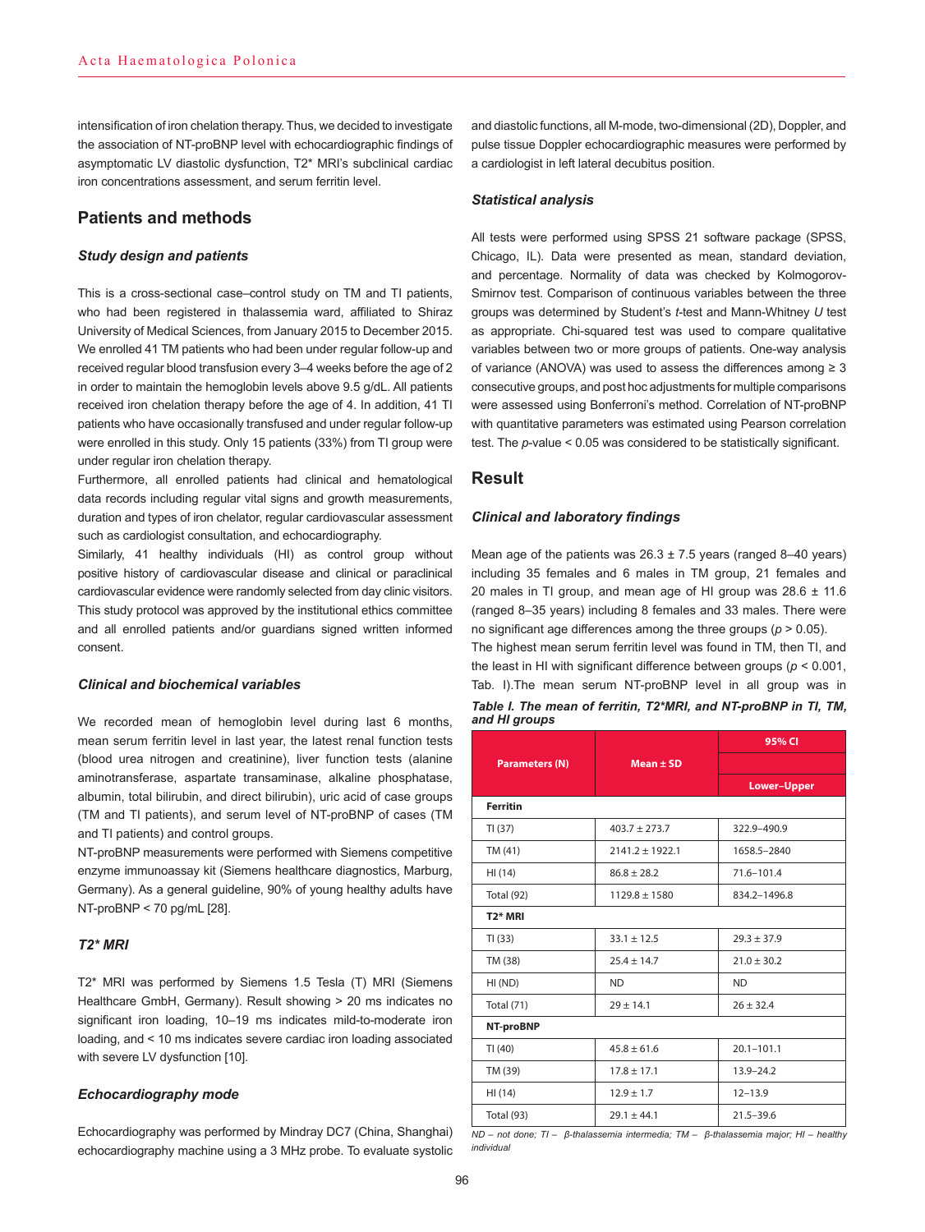intensification of iron chelation therapy. Thus, we decided to investigate the association of NT-proBNP level with echocardiographic findings of asymptomatic LV diastolic dysfunction, T2\* MRI's subclinical cardiac iron concentrations assessment, and serum ferritin level.

## **Patients and methods**

#### *Study design and patients*

This is a cross-sectional case–control study on TM and TI patients, who had been registered in thalassemia ward, affiliated to Shiraz University of Medical Sciences, from January 2015 to December 2015. We enrolled 41 TM patients who had been under regular follow-up and received regular blood transfusion every 3–4 weeks before the age of 2 in order to maintain the hemoglobin levels above 9.5 g/dL. All patients received iron chelation therapy before the age of 4. In addition, 41 TI patients who have occasionally transfused and under regular follow-up were enrolled in this study. Only 15 patients (33%) from TI group were under regular iron chelation therapy.

Furthermore, all enrolled patients had clinical and hematological data records including regular vital signs and growth measurements, duration and types of iron chelator, regular cardiovascular assessment such as cardiologist consultation, and echocardiography.

Similarly, 41 healthy individuals (HI) as control group without positive history of cardiovascular disease and clinical or paraclinical cardiovascular evidence were randomly selected from day clinic visitors. This study protocol was approved by the institutional ethics committee and all enrolled patients and/or guardians signed written informed consent.

## *Clinical and biochemical variables*

We recorded mean of hemoglobin level during last 6 months, mean serum ferritin level in last year, the latest renal function tests (blood urea nitrogen and creatinine), liver function tests (alanine aminotransferase, aspartate transaminase, alkaline phosphatase, albumin, total bilirubin, and direct bilirubin), uric acid of case groups (TM and TI patients), and serum level of NT-proBNP of cases (TM and TI patients) and control groups.

NT-proBNP measurements were performed with Siemens competitive enzyme immunoassay kit (Siemens healthcare diagnostics, Marburg, Germany). As a general guideline, 90% of young healthy adults have NT-proBNP < 70 pg/mL [28].

## *T2\* MRI*

T2\* MRI was performed by Siemens 1.5 Tesla (T) MRI (Siemens Healthcare GmbH, Germany). Result showing > 20 ms indicates no significant iron loading, 10–19 ms indicates mild-to-moderate iron loading, and < 10 ms indicates severe cardiac iron loading associated with severe LV dysfunction [10].

#### *Echocardiography mode*

Echocardiography was performed by Mindray DC7 (China, Shanghai) echocardiography machine using a 3 MHz probe. To evaluate systolic

and diastolic functions, all M-mode, two-dimensional (2D), Doppler, and pulse tissue Doppler echocardiographic measures were performed by a cardiologist in left lateral decubitus position.

#### *Statistical analysis*

All tests were performed using SPSS 21 software package (SPSS, Chicago, IL). Data were presented as mean, standard deviation, and percentage. Normality of data was checked by Kolmogorov-Smirnov test. Comparison of continuous variables between the three groups was determined by Student's *t*-test and Mann-Whitney *U* test as appropriate. Chi-squared test was used to compare qualitative variables between two or more groups of patients. One-way analysis of variance (ANOVA) was used to assess the differences among  $\geq 3$ consecutive groups, and post hoc adjustments for multiple comparisons were assessed using Bonferroni's method. Correlation of NT-proBNP with quantitative parameters was estimated using Pearson correlation test. The *p*-value < 0.05 was considered to be statistically significant.

## **Result**

#### *Clinical and laboratory findings*

Mean age of the patients was  $26.3 \pm 7.5$  years (ranged 8-40 years) including 35 females and 6 males in TM group, 21 females and 20 males in TI group, and mean age of HI group was 28.6 ± 11.6 (ranged 8–35 years) including 8 females and 33 males. There were no significant age differences among the three groups (*p* > 0.05).

The highest mean serum ferritin level was found in TM, then TI, and the least in HI with significant difference between groups (*p* < 0.001, Tab. I).The mean serum NT-proBNP level in all group was in

| Table I. The mean of ferritin, T2*MRI, and NT-proBNP in TI, TM, |  |  |
|-----------------------------------------------------------------|--|--|
| and HI groups                                                   |  |  |

|                       |                   | 95% CI             |  |  |
|-----------------------|-------------------|--------------------|--|--|
| <b>Parameters (N)</b> | $Mean \pm SD$     |                    |  |  |
|                       |                   | <b>Lower-Upper</b> |  |  |
| <b>Ferritin</b>       |                   |                    |  |  |
| TI(37)                | $403.7 \pm 273.7$ | 322.9-490.9        |  |  |
| TM (41)               | $2141.2 + 1922.1$ | 1658.5-2840        |  |  |
| HI (14)               | $86.8 \pm 28.2$   | $71.6 - 101.4$     |  |  |
| Total (92)            | $1129.8 \pm 1580$ | 834.2-1496.8       |  |  |
| T <sub>2</sub> * MRI  |                   |                    |  |  |
| TI(33)                | $33.1 \pm 12.5$   | $29.3 \pm 37.9$    |  |  |
| TM (38)               | $25.4 \pm 14.7$   | $21.0 \pm 30.2$    |  |  |
| HI(ND)                | <b>ND</b>         | <b>ND</b>          |  |  |
| <b>Total (71)</b>     | $29 + 14.1$       | $26 + 32.4$        |  |  |
| NT-proBNP             |                   |                    |  |  |
| TI(40)                | $45.8 \pm 61.6$   | $20.1 - 101.1$     |  |  |
| TM (39)               | $17.8 \pm 17.1$   | $13.9 - 24.2$      |  |  |
| HI (14)               | $12.9 \pm 1.7$    | $12 - 13.9$        |  |  |
| <b>Total (93)</b>     | $29.1 + 44.1$     | $21.5 - 39.6$      |  |  |

*ND – not done; TI – β-thalassemia intermedia; TM – β-thalassemia major; HI – healthy individual*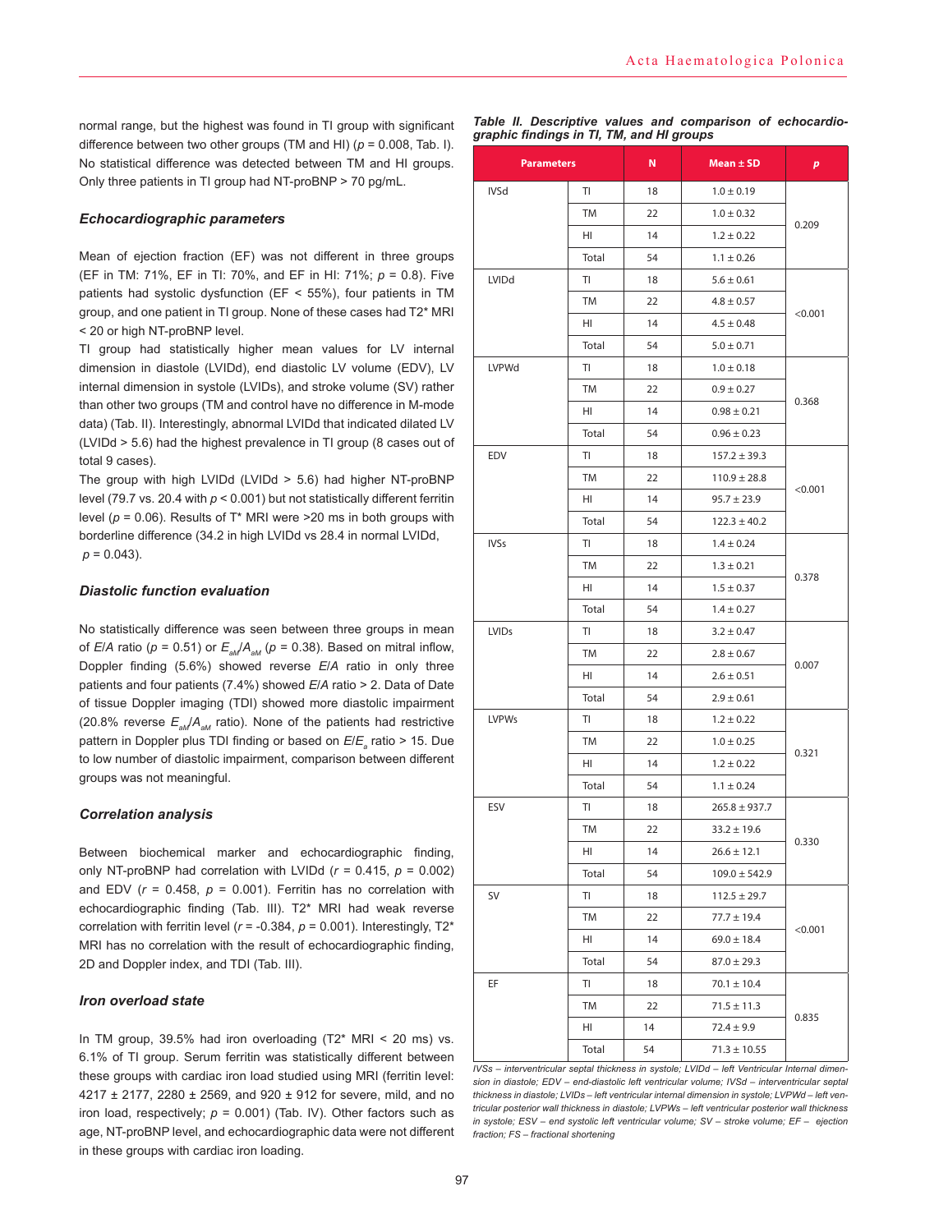normal range, but the highest was found in TI group with significant difference between two other groups (TM and HI)  $(p = 0.008,$  Tab. I). No statistical difference was detected between TM and HI groups. Only three patients in TI group had NT-proBNP > 70 pg/mL.

#### *Echocardiographic parameters*

Mean of ejection fraction (EF) was not different in three groups (EF in TM: 71%, EF in TI: 70%, and EF in HI: 71%; *p* = 0.8). Five patients had systolic dysfunction (EF < 55%), four patients in TM group, and one patient in TI group. None of these cases had T2\* MRI < 20 or high NT-proBNP level.

TI group had statistically higher mean values for LV internal dimension in diastole (LVIDd), end diastolic LV volume (EDV), LV internal dimension in systole (LVIDs), and stroke volume (SV) rather than other two groups (TM and control have no difference in M-mode data) (Tab. II). Interestingly, abnormal LVIDd that indicated dilated LV (LVIDd > 5.6) had the highest prevalence in TI group (8 cases out of total 9 cases).

The group with high LVIDd (LVIDd > 5.6) had higher NT-proBNP level (79.7 vs. 20.4 with *p* < 0.001) but not statistically different ferritin level (*p* = 0.06). Results of T\* MRI were >20 ms in both groups with borderline difference (34.2 in high LVIDd vs 28.4 in normal LVIDd,  $p = 0.043$ ).

#### *Diastolic function evaluation*

No statistically difference was seen between three groups in mean of *E*/*A* ratio ( $p = 0.51$ ) or  $E_{ad}/A_{ad}$  ( $p = 0.38$ ). Based on mitral inflow, Doppler finding (5.6%) showed reverse *E*/*A* ratio in only three patients and four patients (7.4%) showed *E*/*A* ratio > 2. Data of Date of tissue Doppler imaging (TDI) showed more diastolic impairment (20.8% reverse  $E_{ad}/A_{ad}$  ratio). None of the patients had restrictive pattern in Doppler plus TDI finding or based on *E*/*E<sup>a</sup>* ratio > 15. Due to low number of diastolic impairment, comparison between different groups was not meaningful.

#### *Correlation analysis*

Between biochemical marker and echocardiographic finding, only NT-proBNP had correlation with LVIDd  $(r = 0.415, p = 0.002)$ and EDV  $(r = 0.458, p = 0.001)$ . Ferritin has no correlation with echocardiographic finding (Tab. III). T2\* MRI had weak reverse correlation with ferritin level (*r* = -0.384, *p* = 0.001). Interestingly, T2\* MRI has no correlation with the result of echocardiographic finding, 2D and Doppler index, and TDI (Tab. III).

#### *Iron overload state*

In TM group, 39.5% had iron overloading  $(T2^*$  MRI < 20 ms) vs. 6.1% of TI group. Serum ferritin was statistically different between these groups with cardiac iron load studied using MRI (ferritin level: 4217 ± 2177, 2280 ± 2569, and 920 ± 912 for severe, mild, and no iron load, respectively;  $p = 0.001$ ) (Tab. IV). Other factors such as age, NT-proBNP level, and echocardiographic data were not different in these groups with cardiac iron loading.

|  |                                           |  | Table II. Descriptive values and comparison of echocardio- |  |
|--|-------------------------------------------|--|------------------------------------------------------------|--|
|  | graphic findings in TI, TM, and HI groups |  |                                                            |  |

| <b>Parameters</b> |           | N  | Mean $\pm$ SD     | $\boldsymbol{p}$ |  |
|-------------------|-----------|----|-------------------|------------------|--|
| <b>IVSd</b>       | TI        | 18 | $1.0 \pm 0.19$    |                  |  |
|                   | TM        | 22 | $1.0 \pm 0.32$    |                  |  |
|                   | HI        | 14 | $1.2 \pm 0.22$    | 0.209            |  |
|                   | Total     | 54 | $1.1 \pm 0.26$    |                  |  |
| LVIDd             | TI        | 18 | $5.6 \pm 0.61$    |                  |  |
|                   | TM        | 22 | $4.8 \pm 0.57$    |                  |  |
|                   | HI        | 14 | $4.5 \pm 0.48$    | < 0.001          |  |
|                   | Total     | 54 | $5.0 \pm 0.71$    |                  |  |
| LVPWd             | TI        | 18 | $1.0 \pm 0.18$    |                  |  |
|                   | TM        | 22 | $0.9 \pm 0.27$    |                  |  |
|                   | HI        | 14 | $0.98 \pm 0.21$   | 0.368            |  |
|                   | Total     | 54 | $0.96 \pm 0.23$   |                  |  |
| <b>EDV</b>        | TI        | 18 | $157.2 \pm 39.3$  |                  |  |
|                   | TM        | 22 | $110.9 \pm 28.8$  |                  |  |
|                   | HI        | 14 | $95.7 \pm 23.9$   | < 0.001          |  |
|                   | Total     | 54 | $122.3 \pm 40.2$  |                  |  |
| <b>IVSs</b>       | ΤI        | 18 | $1.4 \pm 0.24$    |                  |  |
|                   | TM        | 22 | $1.3 \pm 0.21$    |                  |  |
|                   | HI        | 14 | $1.5 \pm 0.37$    | 0.378            |  |
|                   | Total     | 54 | $1.4 \pm 0.27$    |                  |  |
| <b>LVIDs</b>      | TI        | 18 | $3.2 \pm 0.47$    |                  |  |
|                   | TM        | 22 | $2.8 \pm 0.67$    |                  |  |
|                   | HI        | 14 | $2.6 \pm 0.51$    | 0.007            |  |
|                   | Total     | 54 | $2.9 \pm 0.61$    |                  |  |
| <b>LVPWs</b>      | TI        | 18 | $1.2 \pm 0.22$    |                  |  |
|                   | TM        | 22 | $1.0 \pm 0.25$    |                  |  |
|                   | HI        | 14 | $1.2 \pm 0.22$    | 0.321            |  |
|                   | Total     | 54 | $1.1 \pm 0.24$    |                  |  |
| ESV               | TI        | 18 | $265.8 \pm 937.7$ |                  |  |
|                   | <b>TM</b> | 22 | $33.2 \pm 19.6$   |                  |  |
|                   | HI        | 14 | $26.6 \pm 12.1$   | 0.330            |  |
|                   | Total     | 54 | $109.0 \pm 542.9$ |                  |  |
| SV                | TI        | 18 | $112.5 \pm 29.7$  |                  |  |
|                   | TM        | 22 | $77.7 \pm 19.4$   |                  |  |
|                   | HI        | 14 | $69.0 \pm 18.4$   | < 0.001          |  |
|                   | Total     | 54 | $87.0 \pm 29.3$   |                  |  |
| EF<br>TI          |           | 18 | $70.1 \pm 10.4$   |                  |  |
|                   | TM        | 22 | $71.5 \pm 11.3$   |                  |  |
|                   | HI        | 14 | $72.4 \pm 9.9$    | 0.835            |  |
|                   | Total     | 54 | $71.3 \pm 10.55$  |                  |  |

*IVSs – interventricular septal thickness in systole; LVIDd – left Ventricular Internal dimension in diastole; EDV – end-diastolic left ventricular volume; IVSd – interventricular septal thickness in diastole; LVIDs – left ventricular internal dimension in systole; LVPWd – left ventricular posterior wall thickness in diastole; LVPWs – left ventricular posterior wall thickness in systole; ESV – end systolic left ventricular volume; SV – stroke volume; EF – ejection fraction; FS – fractional shortening*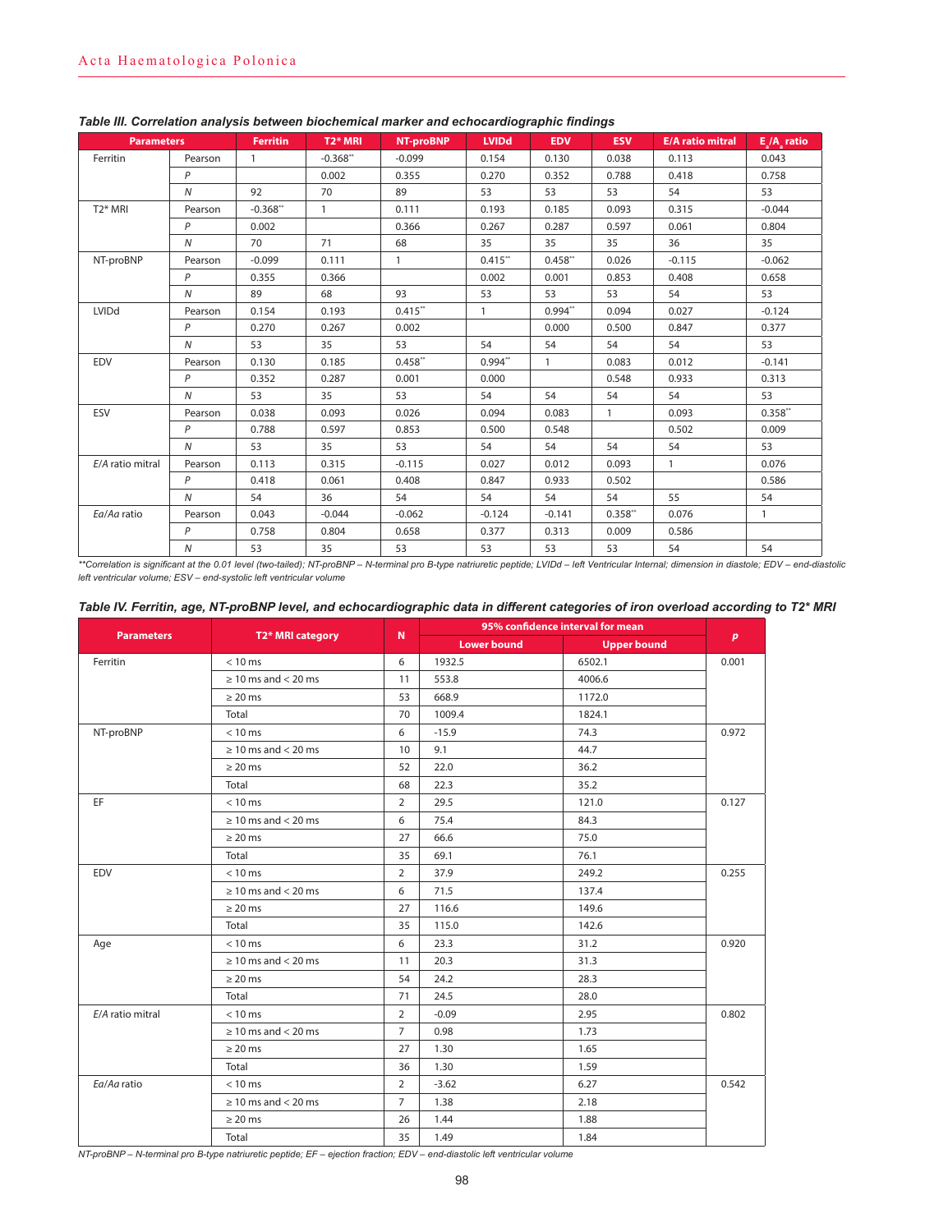| <b>Parameters</b>    |                | <b>Ferritin</b> | <b>T2* MRI</b> | <b>NT-proBNP</b> | <b>LVIDd</b> | <b>EDV</b>   | <b>ESV</b>   | <b>E/A ratio mitral</b> | $E_a/A_a$ ratio |
|----------------------|----------------|-----------------|----------------|------------------|--------------|--------------|--------------|-------------------------|-----------------|
| Ferritin             | Pearson        | $\mathbf{1}$    | $-0.368**$     | $-0.099$         | 0.154        | 0.130        | 0.038        | 0.113                   | 0.043           |
|                      | P              |                 | 0.002          | 0.355            | 0.270        | 0.352        | 0.788        | 0.418                   | 0.758           |
|                      | $\overline{N}$ | 92              | 70             | 89               | 53           | 53           | 53           | 54                      | 53              |
| T <sub>2</sub> * MRI | Pearson        | $-0.368**$      | $\mathbf{1}$   | 0.111            | 0.193        | 0.185        | 0.093        | 0.315                   | $-0.044$        |
|                      | P              | 0.002           |                | 0.366            | 0.267        | 0.287        | 0.597        | 0.061                   | 0.804           |
|                      | N              | 70              | 71             | 68               | 35           | 35           | 35           | 36                      | 35              |
| NT-proBNP            | Pearson        | $-0.099$        | 0.111          | $\mathbf{1}$     | $0.415$ **   | $0.458**$    | 0.026        | $-0.115$                | $-0.062$        |
|                      | P              | 0.355           | 0.366          |                  | 0.002        | 0.001        | 0.853        | 0.408                   | 0.658           |
|                      | $\overline{N}$ | 89              | 68             | 93               | 53           | 53           | 53           | 54                      | 53              |
| LVIDd                | Pearson        | 0.154           | 0.193          | $0.415**$        | $\mathbf{1}$ | $0.994**$    | 0.094        | 0.027                   | $-0.124$        |
|                      | P              | 0.270           | 0.267          | 0.002            |              | 0.000        | 0.500        | 0.847                   | 0.377           |
|                      | N              | 53              | 35             | 53               | 54           | 54           | 54           | 54                      | 53              |
| EDV                  | Pearson        | 0.130           | 0.185          | $0.458**$        | $0.994**$    | $\mathbf{1}$ | 0.083        | 0.012                   | $-0.141$        |
|                      | $\mathsf{P}$   | 0.352           | 0.287          | 0.001            | 0.000        |              | 0.548        | 0.933                   | 0.313           |
|                      | $\overline{N}$ | 53              | 35             | 53               | 54           | 54           | 54           | 54                      | 53              |
| ESV                  | Pearson        | 0.038           | 0.093          | 0.026            | 0.094        | 0.083        | $\mathbf{1}$ | 0.093                   | $0.358**$       |
|                      | P              | 0.788           | 0.597          | 0.853            | 0.500        | 0.548        |              | 0.502                   | 0.009           |
|                      | $\overline{N}$ | 53              | 35             | 53               | 54           | 54           | 54           | 54                      | 53              |
| E/A ratio mitral     | Pearson        | 0.113           | 0.315          | $-0.115$         | 0.027        | 0.012        | 0.093        | $\mathbf{1}$            | 0.076           |
|                      | P              | 0.418           | 0.061          | 0.408            | 0.847        | 0.933        | 0.502        |                         | 0.586           |
|                      | $\overline{N}$ | 54              | 36             | 54               | 54           | 54           | 54           | 55                      | 54              |
| Ea/Aa ratio          | Pearson        | 0.043           | $-0.044$       | $-0.062$         | $-0.124$     | $-0.141$     | $0.358**$    | 0.076                   | $\mathbf{1}$    |
|                      | P              | 0.758           | 0.804          | 0.658            | 0.377        | 0.313        | 0.009        | 0.586                   |                 |
|                      | $\overline{N}$ | 53              | 35             | 53               | 53           | 53           | 53           | 54                      | 54              |

## *Table III. Correlation analysis between biochemical marker and echocardiographic findings*

*\*\*Correlation is significant at the 0.01 level (two-tailed); NT-proBNP – N-terminal pro B-type natriuretic peptide; LVIDd – left Ventricular Internal; dimension in diastole; EDV – end-diastolic left ventricular volume; ESV – end-systolic left ventricular volume*

#### *Table IV. Ferritin, age, NT-proBNP level, and echocardiographic data in different categories of iron overload according to T2\* MRI*

|                   |                          |                | 95% confidence interval for mean |                    |       |
|-------------------|--------------------------|----------------|----------------------------------|--------------------|-------|
| <b>Parameters</b> | T2* MRI category         | $\mathbb{N}$   | <b>Lower bound</b>               | <b>Upper bound</b> | p     |
| Ferritin          | $< 10$ ms                | 6              | 1932.5                           | 6502.1             | 0.001 |
|                   | $\geq 10$ ms and < 20 ms | 11             | 553.8                            | 4006.6             |       |
|                   | $\geq 20$ ms             | 53             | 668.9                            | 1172.0             |       |
|                   | Total                    | 70             | 1009.4                           | 1824.1             |       |
| NT-proBNP         | $< 10$ ms                | 6              | $-15.9$                          | 74.3               | 0.972 |
|                   | $\geq 10$ ms and < 20 ms | 10             | 9.1                              | 44.7               |       |
|                   | $\geq 20$ ms             | 52             | 22.0                             | 36.2               |       |
|                   | Total                    | 68             | 22.3                             | 35.2               |       |
| EF                | $< 10$ ms                | $\overline{2}$ | 29.5                             | 121.0              | 0.127 |
|                   | $\geq 10$ ms and < 20 ms | 6              | 75.4                             | 84.3               |       |
|                   | $\geq 20$ ms             | 27             | 66.6                             | 75.0               |       |
|                   | Total                    | 35             | 69.1                             | 76.1               |       |
| EDV               | $< 10$ ms                | $\overline{2}$ | 37.9                             | 249.2              | 0.255 |
|                   | $\geq 10$ ms and < 20 ms | 6              | 71.5                             | 137.4              |       |
|                   | $\geq 20$ ms             | 27             | 116.6                            | 149.6              |       |
|                   | Total                    | 35             | 115.0                            | 142.6              |       |
| Age               | $< 10$ ms                | 6              | 23.3                             | 31.2               | 0.920 |
|                   | $\geq 10$ ms and < 20 ms | 11             | 20.3                             | 31.3               |       |
|                   | $\geq 20$ ms             | 54             | 24.2                             | 28.3               |       |
|                   | Total                    | 71             | 24.5                             | 28.0               |       |
| E/A ratio mitral  | $< 10$ ms                | $\overline{2}$ | $-0.09$                          | 2.95               | 0.802 |
|                   | $\geq 10$ ms and < 20 ms | $\overline{7}$ | 0.98                             | 1.73               |       |
|                   | $\geq 20$ ms             | 27             | 1.30                             | 1.65               |       |
|                   | Total                    | 36             | 1.30                             | 1.59               |       |
| Ea/Aa ratio       | $< 10$ ms                | $\overline{2}$ | $-3.62$                          | 6.27               | 0.542 |
|                   | $\geq 10$ ms and < 20 ms | $\overline{7}$ | 1.38                             | 2.18               |       |
|                   | $\geq$ 20 ms             | 26             | 1.44                             | 1.88               |       |
|                   | Total                    | 35             | 1.49                             | 1.84               |       |

*NT-proBNP – N-terminal pro B-type natriuretic peptide; EF – ejection fraction; EDV – end-diastolic left ventricular volume*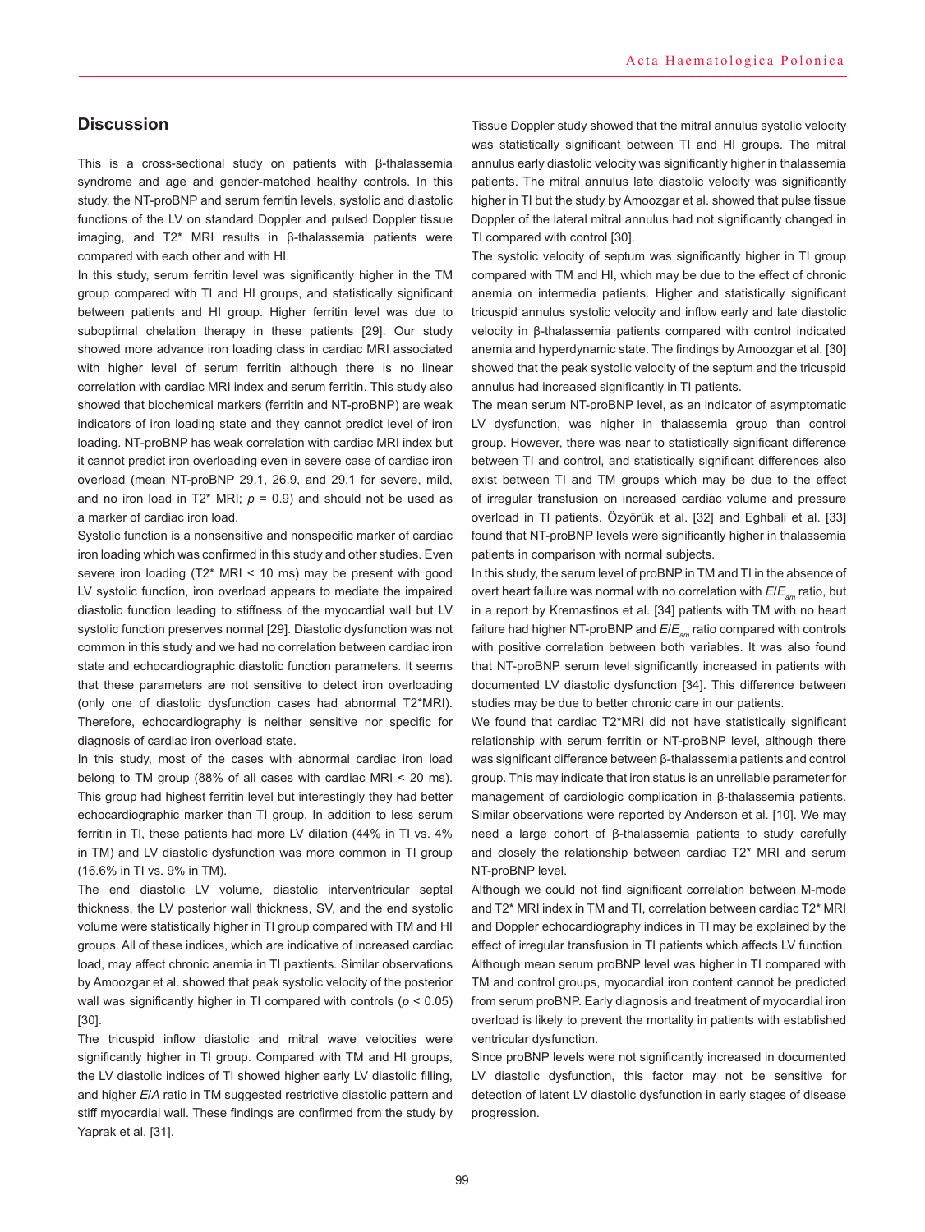## **Discussion**

This is a cross-sectional study on patients with β-thalassemia syndrome and age and gender-matched healthy controls. In this study, the NT-proBNP and serum ferritin levels, systolic and diastolic functions of the LV on standard Doppler and pulsed Doppler tissue imaging, and T2\* MRI results in β-thalassemia patients were compared with each other and with HI.

In this study, serum ferritin level was significantly higher in the TM group compared with TI and HI groups, and statistically significant between patients and HI group. Higher ferritin level was due to suboptimal chelation therapy in these patients [29]. Our study showed more advance iron loading class in cardiac MRI associated with higher level of serum ferritin although there is no linear correlation with cardiac MRI index and serum ferritin. This study also showed that biochemical markers (ferritin and NT-proBNP) are weak indicators of iron loading state and they cannot predict level of iron loading. NT-proBNP has weak correlation with cardiac MRI index but it cannot predict iron overloading even in severe case of cardiac iron overload (mean NT-proBNP 29.1, 26.9, and 29.1 for severe, mild, and no iron load in T2<sup>\*</sup> MRI;  $p = 0.9$ ) and should not be used as a marker of cardiac iron load.

Systolic function is a nonsensitive and nonspecific marker of cardiac iron loading which was confirmed in this study and other studies. Even severe iron loading (T2\* MRI < 10 ms) may be present with good LV systolic function, iron overload appears to mediate the impaired diastolic function leading to stiffness of the myocardial wall but LV systolic function preserves normal [29]. Diastolic dysfunction was not common in this study and we had no correlation between cardiac iron state and echocardiographic diastolic function parameters. It seems that these parameters are not sensitive to detect iron overloading (only one of diastolic dysfunction cases had abnormal T2\*MRI). Therefore, echocardiography is neither sensitive nor specific for diagnosis of cardiac iron overload state.

In this study, most of the cases with abnormal cardiac iron load belong to TM group (88% of all cases with cardiac MRI < 20 ms). This group had highest ferritin level but interestingly they had better echocardiographic marker than TI group. In addition to less serum ferritin in TI, these patients had more LV dilation (44% in TI vs. 4% in TM) and LV diastolic dysfunction was more common in TI group (16.6% in TI vs. 9% in TM).

The end diastolic LV volume, diastolic interventricular septal thickness, the LV posterior wall thickness, SV, and the end systolic volume were statistically higher in TI group compared with TM and HI groups. All of these indices, which are indicative of increased cardiac load, may affect chronic anemia in TI paxtients. Similar observations by Amoozgar et al. showed that peak systolic velocity of the posterior wall was significantly higher in TI compared with controls (*p* < 0.05) [30].

The tricuspid inflow diastolic and mitral wave velocities were significantly higher in TI group. Compared with TM and HI groups, the LV diastolic indices of TI showed higher early LV diastolic filling, and higher *E*/*A* ratio in TM suggested restrictive diastolic pattern and stiff myocardial wall. These findings are confirmed from the study by Yaprak et al. [31].

Tissue Doppler study showed that the mitral annulus systolic velocity was statistically significant between TI and HI groups. The mitral annulus early diastolic velocity was significantly higher in thalassemia patients. The mitral annulus late diastolic velocity was significantly higher in TI but the study by Amoozgar et al. showed that pulse tissue Doppler of the lateral mitral annulus had not significantly changed in TI compared with control [30].

The systolic velocity of septum was significantly higher in TI group compared with TM and HI, which may be due to the effect of chronic anemia on intermedia patients. Higher and statistically significant tricuspid annulus systolic velocity and inflow early and late diastolic velocity in β-thalassemia patients compared with control indicated anemia and hyperdynamic state. The findings by Amoozgar et al. [30] showed that the peak systolic velocity of the septum and the tricuspid annulus had increased significantly in TI patients.

The mean serum NT-proBNP level, as an indicator of asymptomatic LV dysfunction, was higher in thalassemia group than control group. However, there was near to statistically significant difference between TI and control, and statistically significant differences also exist between TI and TM groups which may be due to the effect of irregular transfusion on increased cardiac volume and pressure overload in TI patients. Özyörük et al. [32] and Eghbali et al. [33] found that NT-proBNP levels were significantly higher in thalassemia patients in comparison with normal subjects.

In this study, the serum level of proBNP in TM and TI in the absence of overt heart failure was normal with no correlation with  $E/E_{ax}$  ratio, but in a report by Kremastinos et al. [34] patients with TM with no heart failure had higher NT-proBNP and *E*/*Eam* ratio compared with controls with positive correlation between both variables. It was also found that NT-proBNP serum level significantly increased in patients with documented LV diastolic dysfunction [34]. This difference between studies may be due to better chronic care in our patients.

We found that cardiac T2\*MRI did not have statistically significant relationship with serum ferritin or NT-proBNP level, although there was significant difference between β-thalassemia patients and control group. This may indicate that iron status is an unreliable parameter for management of cardiologic complication in β-thalassemia patients. Similar observations were reported by Anderson et al. [10]. We may need a large cohort of β-thalassemia patients to study carefully and closely the relationship between cardiac T2\* MRI and serum NT-proBNP level.

Although we could not find significant correlation between M-mode and T2\* MRI index in TM and TI, correlation between cardiac T2\* MRI and Doppler echocardiography indices in TI may be explained by the effect of irregular transfusion in TI patients which affects LV function. Although mean serum proBNP level was higher in TI compared with TM and control groups, myocardial iron content cannot be predicted from serum proBNP. Early diagnosis and treatment of myocardial iron overload is likely to prevent the mortality in patients with established ventricular dysfunction.

Since proBNP levels were not significantly increased in documented LV diastolic dysfunction, this factor may not be sensitive for detection of latent LV diastolic dysfunction in early stages of disease progression.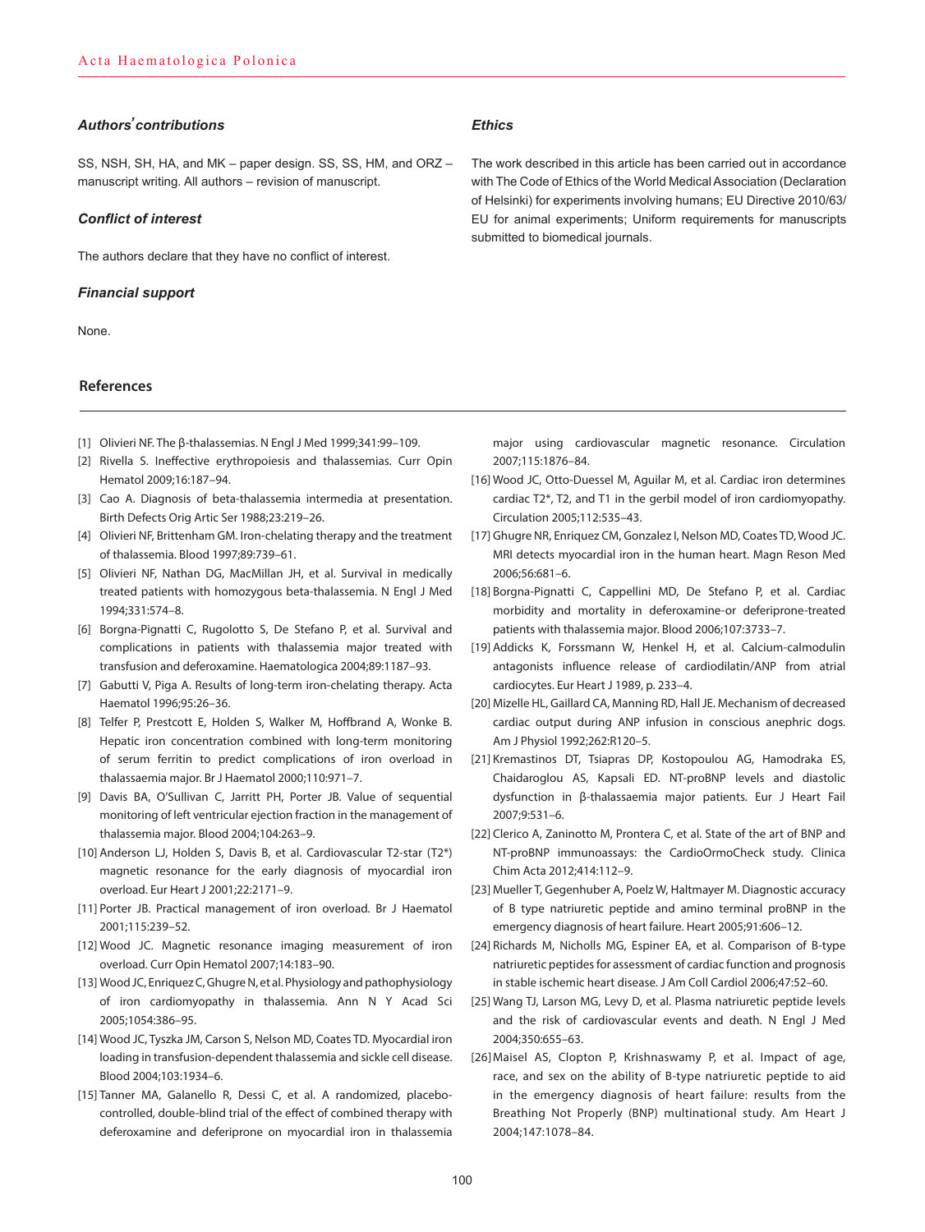#### *Authors̕ contributions*

SS, NSH, SH, HA, and MK – paper design. SS, SS, HM, and ORZ – manuscript writing. All authors – revision of manuscript.

#### *Conflict of interest*

The authors declare that they have no conflict of interest.

#### *Financial support*

None.

### **References**

- [1] Olivieri NF. The β-thalassemias. N Engl J Med 1999;341:99–109.
- [2] Rivella S. Ineffective erythropoiesis and thalassemias. Curr Opin Hematol 2009;16:187–94.
- [3] Cao A. Diagnosis of beta-thalassemia intermedia at presentation. Birth Defects Orig Artic Ser 1988;23:219–26.
- [4] Olivieri NF, Brittenham GM. Iron-chelating therapy and the treatment of thalassemia. Blood 1997;89:739–61.
- [5] Olivieri NF, Nathan DG, MacMillan JH, et al. Survival in medically treated patients with homozygous beta-thalassemia. N Engl J Med 1994;331:574–8.
- [6] Borgna-Pignatti C, Rugolotto S, De Stefano P, et al. Survival and complications in patients with thalassemia major treated with transfusion and deferoxamine. Haematologica 2004;89:1187–93.
- [7] Gabutti V, Piga A. Results of long-term iron-chelating therapy. Acta Haematol 1996;95:26–36.
- [8] Telfer P, Prestcott E, Holden S, Walker M, Hoffbrand A, Wonke B. Hepatic iron concentration combined with long-term monitoring of serum ferritin to predict complications of iron overload in thalassaemia major. Br J Haematol 2000;110:971–7.
- [9] Davis BA, O'Sullivan C, Jarritt PH, Porter JB. Value of sequential monitoring of left ventricular ejection fraction in the management of thalassemia major. Blood 2004;104:263–9.
- [10] Anderson LJ, Holden S, Davis B, et al. Cardiovascular T2-star (T2\*) magnetic resonance for the early diagnosis of myocardial iron overload. Eur Heart J 2001;22:2171–9.
- [11] Porter JB. Practical management of iron overload. Br J Haematol 2001;115:239–52.
- [12] Wood JC. Magnetic resonance imaging measurement of iron overload. Curr Opin Hematol 2007;14:183–90.
- [13] Wood JC, Enriquez C, Ghugre N, et al. Physiology and pathophysiology of iron cardiomyopathy in thalassemia. Ann N Y Acad Sci 2005;1054:386–95.
- [14] Wood JC, Tyszka JM, Carson S, Nelson MD, Coates TD. Myocardial iron loading in transfusion-dependent thalassemia and sickle cell disease. Blood 2004;103:1934–6.
- [15] Tanner MA, Galanello R, Dessi C, et al. A randomized, placebocontrolled, double-blind trial of the effect of combined therapy with deferoxamine and deferiprone on myocardial iron in thalassemia

#### *Ethics*

The work described in this article has been carried out in accordance with The Code of Ethics of the World Medical Association (Declaration of Helsinki) for experiments involving humans; EU Directive 2010/63/ EU for animal experiments; Uniform requirements for manuscripts submitted to biomedical journals.

major using cardiovascular magnetic resonance. Circulation 2007;115:1876–84.

- [16] Wood JC, Otto-Duessel M, Aguilar M, et al. Cardiac iron determines cardiac T2\*, T2, and T1 in the gerbil model of iron cardiomyopathy. Circulation 2005;112:535–43.
- [17] Ghugre NR, Enriquez CM, Gonzalez I, Nelson MD, Coates TD, Wood JC. MRI detects myocardial iron in the human heart. Magn Reson Med 2006;56:681–6.
- [18] Borgna-Pignatti C, Cappellini MD, De Stefano P, et al. Cardiac morbidity and mortality in deferoxamine-or deferiprone-treated patients with thalassemia major. Blood 2006;107:3733–7.
- [19] Addicks K, Forssmann W, Henkel H, et al. Calcium-calmodulin antagonists influence release of cardiodilatin/ANP from atrial cardiocytes. Eur Heart J 1989, p. 233–4.
- [20] Mizelle HL, Gaillard CA, Manning RD, Hall JE. Mechanism of decreased cardiac output during ANP infusion in conscious anephric dogs. Am J Physiol 1992;262:R120–5.
- [21] Kremastinos DT, Tsiapras DP, Kostopoulou AG, Hamodraka ES, Chaidaroglou AS, Kapsali ED. NT-proBNP levels and diastolic dysfunction in β-thalassaemia major patients. Eur J Heart Fail 2007;9:531–6.
- [22] Clerico A, Zaninotto M, Prontera C, et al. State of the art of BNP and NT-proBNP immunoassays: the CardioOrmoCheck study. Clinica Chim Acta 2012;414:112–9.
- [23] Mueller T, Gegenhuber A, Poelz W, Haltmayer M. Diagnostic accuracy of B type natriuretic peptide and amino terminal proBNP in the emergency diagnosis of heart failure. Heart 2005;91:606–12.
- [24] Richards M, Nicholls MG, Espiner EA, et al. Comparison of B-type natriuretic peptides for assessment of cardiac function and prognosis in stable ischemic heart disease. J Am Coll Cardiol 2006;47:52–60.
- [25] Wang TJ, Larson MG, Levy D, et al. Plasma natriuretic peptide levels and the risk of cardiovascular events and death. N Engl J Med 2004;350:655–63.
- [26]Maisel AS, Clopton P, Krishnaswamy P, et al. Impact of age, race, and sex on the ability of B-type natriuretic peptide to aid in the emergency diagnosis of heart failure: results from the Breathing Not Properly (BNP) multinational study. Am Heart J 2004;147:1078–84.